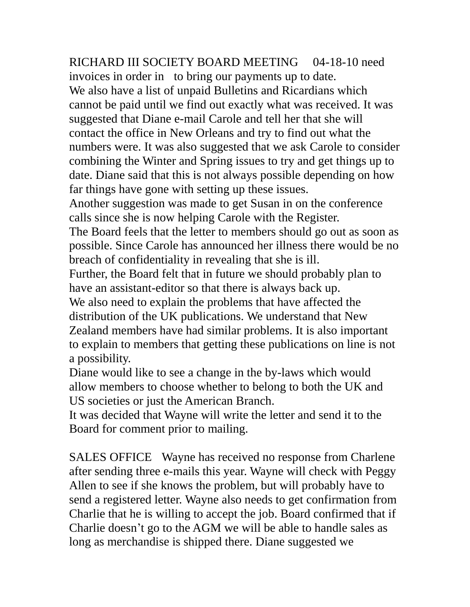RICHARD III SOCIETY BOARD MEETING 04-18-10 need invoices in order in to bring our payments up to date. We also have a list of unpaid Bulletins and Ricardians which cannot be paid until we find out exactly what was received. It was suggested that Diane e-mail Carole and tell her that she will contact the office in New Orleans and try to find out what the numbers were. It was also suggested that we ask Carole to consider combining the Winter and Spring issues to try and get things up to date. Diane said that this is not always possible depending on how far things have gone with setting up these issues.

Another suggestion was made to get Susan in on the conference calls since she is now helping Carole with the Register.

The Board feels that the letter to members should go out as soon as possible. Since Carole has announced her illness there would be no breach of confidentiality in revealing that she is ill.

Further, the Board felt that in future we should probably plan to have an assistant-editor so that there is always back up.

We also need to explain the problems that have affected the distribution of the UK publications. We understand that New Zealand members have had similar problems. It is also important to explain to members that getting these publications on line is not a possibility.

Diane would like to see a change in the by-laws which would allow members to choose whether to belong to both the UK and US societies or just the American Branch.

It was decided that Wayne will write the letter and send it to the Board for comment prior to mailing.

SALES OFFICE Wayne has received no response from Charlene after sending three e-mails this year. Wayne will check with Peggy Allen to see if she knows the problem, but will probably have to send a registered letter. Wayne also needs to get confirmation from Charlie that he is willing to accept the job. Board confirmed that if Charlie doesn't go to the AGM we will be able to handle sales as long as merchandise is shipped there. Diane suggested we